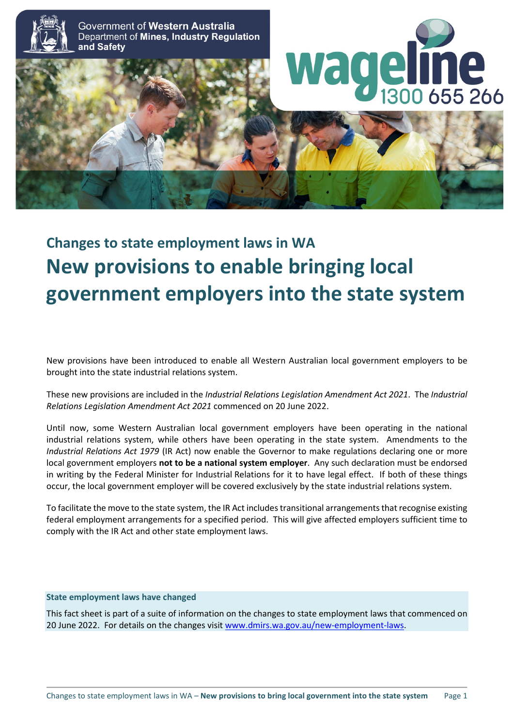

Government of Western Australia Department of Mines, Industry Regulation and Safety





# **Changes to state employment laws in WA New provisions to enable bringing local government employers into the state system**

New provisions have been introduced to enable all Western Australian local government employers to be brought into the state industrial relations system.

These new provisions are included in the *Industrial Relations Legislation Amendment Act 2021*. The *Industrial Relations Legislation Amendment Act 2021* commenced on 20 June 2022.

Until now, some Western Australian local government employers have been operating in the national industrial relations system, while others have been operating in the state system. Amendments to the *Industrial Relations Act 1979* (IR Act) now enable the Governor to make regulations declaring one or more local government employers **not to be a national system employer**. Any such declaration must be endorsed in writing by the Federal Minister for Industrial Relations for it to have legal effect. If both of these things occur, the local government employer will be covered exclusively by the state industrial relations system.

To facilitate the move to the state system, the IR Act includes transitional arrangements that recognise existing federal employment arrangements for a specified period. This will give affected employers sufficient time to comply with the IR Act and other state employment laws.

#### **State employment laws have changed**

This fact sheet is part of a suite of information on the changes to state employment laws that commenced on 20 June 2022. For details on the changes visi[t www.dmirs.wa.gov.au/new-employment-laws.](http://www.dmirs.wa.gov.au/new-employment-laws)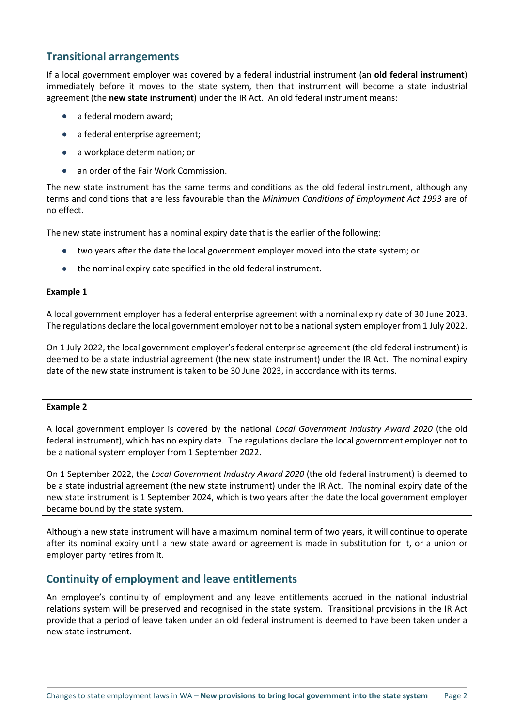## **Transitional arrangements**

If a local government employer was covered by a federal industrial instrument (an **old federal instrument**) immediately before it moves to the state system, then that instrument will become a state industrial agreement (the **new state instrument**) under the IR Act. An old federal instrument means:

- a federal modern award;
- a federal enterprise agreement;
- a workplace determination; or
- an order of the Fair Work Commission.

The new state instrument has the same terms and conditions as the old federal instrument, although any terms and conditions that are less favourable than the *Minimum Conditions of Employment Act 1993* are of no effect.

The new state instrument has a nominal expiry date that is the earlier of the following:

- two years after the date the local government employer moved into the state system; or
- the nominal expiry date specified in the old federal instrument.

#### **Example 1**

A local government employer has a federal enterprise agreement with a nominal expiry date of 30 June 2023. The regulations declare the local government employer not to be a national system employer from 1 July 2022.

On 1 July 2022, the local government employer's federal enterprise agreement (the old federal instrument) is deemed to be a state industrial agreement (the new state instrument) under the IR Act. The nominal expiry date of the new state instrument is taken to be 30 June 2023, in accordance with its terms.

#### **Example 2**

A local government employer is covered by the national *Local Government Industry Award 2020* (the old federal instrument), which has no expiry date. The regulations declare the local government employer not to be a national system employer from 1 September 2022.

On 1 September 2022, the *Local Government Industry Award 2020* (the old federal instrument) is deemed to be a state industrial agreement (the new state instrument) under the IR Act. The nominal expiry date of the new state instrument is 1 September 2024, which is two years after the date the local government employer became bound by the state system.

Although a new state instrument will have a maximum nominal term of two years, it will continue to operate after its nominal expiry until a new state award or agreement is made in substitution for it, or a union or employer party retires from it.

## **Continuity of employment and leave entitlements**

An employee's continuity of employment and any leave entitlements accrued in the national industrial relations system will be preserved and recognised in the state system. Transitional provisions in the IR Act provide that a period of leave taken under an old federal instrument is deemed to have been taken under a new state instrument.